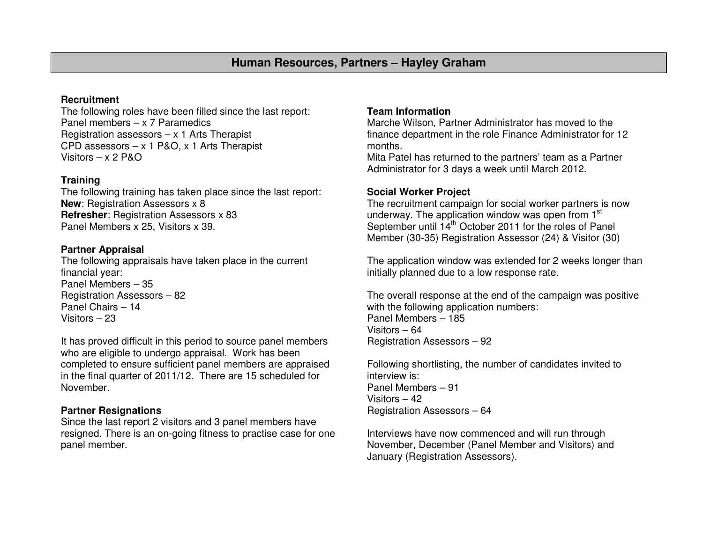# **Human Resources, Partners – Hayley Graham**

# **Recruitment**

 The following roles have been filled since the last report: Panel members – x 7 Paramedics Registration assessors – x 1 Arts Therapist CPD assessors  $-x 1 P&0, x 1$  Arts Therapist Visitors  $- x 2 P & O$ 

#### **Training**

 The following training has taken place since the last report: **New: Registration Assessors x 8 Refresher**: Registration Assessors x 83 Panel Members x 25, Visitors x 39.

# **Partner Appraisal**

 The following appraisals have taken place in the current financial year: Panel Members – 35 Registration Assessors – 82 Panel Chairs – 14 Visitors – 23

It has proved difficult in this period to source panel members who are eligible to undergo appraisal. Work has been completed to ensure sufficient panel members are appraised in the final quarter of 2011/12. There are 15 scheduled for November.

## **Partner Resignations**

 Since the last report 2 visitors and 3 panel members have resigned. There is an on-going fitness to practise case for one panel member.

## **Team Information**

 Marche Wilson, Partner Administrator has moved to the finance department in the role Finance Administrator for 12 months.

 Mita Patel has returned to the partners' team as a Partner Administrator for 3 days a week until March 2012.

#### **Social Worker Project**

 The recruitment campaign for social worker partners is now underway. The application window was open from 1<sup>st</sup> September until 14<sup>th</sup> October 2011 for the roles of Panel Member (30-35) Registration Assessor (24) & Visitor (30)

The application window was extended for 2 weeks longer than initially planned due to a low response rate.

The overall response at the end of the campaign was positive with the following application numbers: Panel Members – 185 Visitors – 64 Registration Assessors – 92

Following shortlisting, the number of candidates invited to interview is: Panel Members – 91 Visitors – 42 Registration Assessors – 64

Interviews have now commenced and will run through November, December (Panel Member and Visitors) and January (Registration Assessors).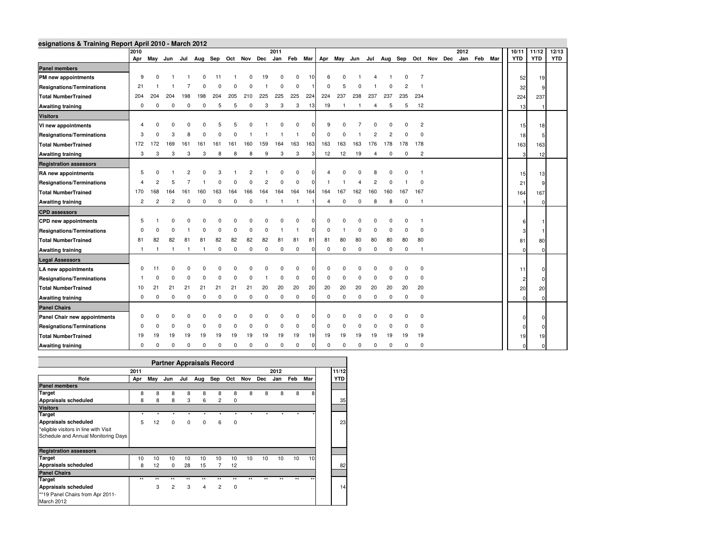|                                  | 2011<br>2012<br>2010 |              |              |                |             |             |            |             |              |                |                |              |                |                |              | 10/11       |     | 11/12       | 12/13          |                                                                                     |  |             |            |     |            |            |
|----------------------------------|----------------------|--------------|--------------|----------------|-------------|-------------|------------|-------------|--------------|----------------|----------------|--------------|----------------|----------------|--------------|-------------|-----|-------------|----------------|-------------------------------------------------------------------------------------|--|-------------|------------|-----|------------|------------|
|                                  |                      |              |              |                |             |             |            |             |              |                |                |              |                |                |              |             |     |             |                | Apr May Jun Jul Aug Sep Oct Nov Dec Jan Feb Mar Apr May Jun Jul Aug Sep Oct Nov Dec |  | Jan Feb Mar | <b>YTD</b> |     | <b>YTD</b> | <b>YTD</b> |
| <b>Panel members</b>             |                      |              |              |                |             |             |            |             |              |                |                |              |                |                |              |             |     |             |                |                                                                                     |  |             |            |     |            |            |
| PM new appointments              | 9                    | $\Omega$     |              |                |             |             |            |             | 19           |                | $\Omega$       | 10           | ĥ              |                |              |             |     |             |                |                                                                                     |  |             |            | 52  | 19         |            |
| <b>Resignations/Terminations</b> | 21                   |              |              |                |             |             |            |             |              | O              | $\Omega$       |              | $\Omega$       | 5              |              |             |     |             |                |                                                                                     |  |             |            | 32  |            |            |
| <b>Total NumberTrained</b>       | 204                  | 204          | 204          | 198            | 198         | 204         | 205        | 210         | 225          | 225            | 225            | 224          | 224            | 237            | 238          | 237         | 237 | 235         | 234            |                                                                                     |  |             |            | 224 | 237        |            |
| <b>Awaiting training</b>         | 0                    | 0            | 0            | 0              | 0           | 5           | 5          | 0           | 3            | 3              | 3              | 13           | 19             | $\overline{1}$ | $\mathbf{1}$ | 4           | 5   | 5           | 12             |                                                                                     |  |             |            | 13  |            |            |
| <b>Visitors</b>                  |                      |              |              |                |             |             |            |             |              |                |                |              |                |                |              |             |     |             |                |                                                                                     |  |             |            |     |            |            |
| VI new appointments              |                      |              |              |                |             |             |            |             |              |                |                |              | 9              |                |              |             |     |             | 2              |                                                                                     |  |             |            | 15  | 18         |            |
| <b>Resignations/Terminations</b> | 3                    | $\Omega$     | 3            |                |             |             |            |             |              |                |                |              | $\Omega$       |                |              |             |     |             |                |                                                                                     |  |             |            | 18  |            |            |
| <b>Total NumberTrained</b>       | 172                  | 172          | 169          | 161            | 161         | 161         | 161        | 160         | 159          | 164            | 163            | 163          | 163            | 163            | 163          | 176         | 178 |             | 178 178        |                                                                                     |  |             |            | 163 | 163        |            |
| <b>Awaiting training</b>         | 3                    | 3            | 3            | 3              | 3           | 8           | 8          | 8           | 9            | 3              | 3              | 3            | 12             | 12             | 19           | 4           | 0   | $\mathbf 0$ | $\overline{2}$ |                                                                                     |  |             |            | 3   | 12         |            |
| <b>Registration assessors</b>    |                      |              |              |                |             |             |            |             |              |                |                |              |                |                |              |             |     |             |                |                                                                                     |  |             |            |     |            |            |
| RA new appointments              | 5                    |              |              |                |             |             |            |             |              |                | $\Omega$       |              |                |                |              | 8           |     |             |                |                                                                                     |  |             |            | 15  | 13         |            |
| <b>Resignations/Terminations</b> |                      |              |              |                |             |             |            |             |              | $\Omega$       | $\Omega$       | U            |                |                |              | 2           |     |             | $\Omega$       |                                                                                     |  |             |            | 21  |            |            |
| <b>Total NumberTrained</b>       | 170                  | 168          | 164          | 161            | 160         | 163         | 164        | 166         | 164          | 164            | 164            | 164          | 164            | 167            | 162          | 160         | 160 | 167         | 167            |                                                                                     |  |             |            | 164 | 167        |            |
| <b>Awaiting training</b>         | 2                    | 2            | 2            | $\mathbf 0$    | 0           | 0           | 0          | 0           | $\mathbf{1}$ | $\overline{1}$ | $\overline{1}$ |              | $\overline{4}$ | 0              | $\mathbf 0$  | 8           | 8   | 0           | $\overline{1}$ |                                                                                     |  |             |            |     |            |            |
| <b>CPD</b> assessors             |                      |              |              |                |             |             |            |             |              |                |                |              |                |                |              |             |     |             |                |                                                                                     |  |             |            |     |            |            |
| <b>CPD</b> new appointments      | 5                    |              |              |                |             |             |            |             |              |                |                |              |                |                |              |             |     |             |                |                                                                                     |  |             |            | 6   |            |            |
| <b>Resignations/Terminations</b> | $\Omega$             |              |              |                |             |             |            |             |              |                |                |              | <sup>0</sup>   |                |              | $\Omega$    |     | ŋ           | $\Omega$       |                                                                                     |  |             |            |     |            |            |
| <b>Total NumberTrained</b>       | 81                   | 82           | 82           | 81             | 81          | 82          | 82         | 82          | 82           | 81             | 81             | 81           | 81             | 80             | 80           | 80          | 80  | 80          | 80             |                                                                                     |  |             |            | 81  | 80         |            |
| <b>Awaiting training</b>         | $\overline{1}$       | $\mathbf{1}$ | $\mathbf{1}$ | $\overline{1}$ |             | 0           | $^{\circ}$ | $\mathbf 0$ | $^{\circ}$   | 0              | $\mathbf 0$    | $\Omega$     | 0              | $\mathbf 0$    | 0            | 0           | 0   | $\mathbf 0$ | -1             |                                                                                     |  |             |            |     |            |            |
| <b>Legal Assessors</b>           |                      |              |              |                |             |             |            |             |              |                |                |              |                |                |              |             |     |             |                |                                                                                     |  |             |            |     |            |            |
| LA new appointments              | $\Omega$             | 11           |              |                |             |             |            |             |              |                |                |              | n              |                |              |             |     |             | $\Omega$       |                                                                                     |  |             |            | 11  |            |            |
| <b>Resignations/Terminations</b> |                      |              |              |                |             |             |            |             |              | O              | $\Omega$       | n            | <sup>0</sup>   |                |              | $\Omega$    |     |             | $\Omega$       |                                                                                     |  |             |            | 2   |            |            |
| <b>Total NumberTrained</b>       | 10                   | 21           | 21           | 21             | 21          | 21          | 21         | 21          | 20           | 20             | 20             | 20           | 20             | 20             | 20           | 20          | 20  | 20          | 20             |                                                                                     |  |             |            | 20  | 20         |            |
| <b>Awaiting training</b>         | $\mathbf 0$          | 0            | 0            | 0              | $\mathbf 0$ | $\mathbf 0$ | 0          | $\mathbf 0$ | $\mathbf 0$  | 0              | $\mathbf 0$    | $\mathbf{0}$ | $\mathbf 0$    | $\mathbf 0$    | $\mathbf 0$  | $\mathbf 0$ | 0   | $\mathbf 0$ | $^{\circ}$     |                                                                                     |  |             |            |     |            |            |
| <b>Panel Chairs</b>              |                      |              |              |                |             |             |            |             |              |                |                |              |                |                |              |             |     |             |                |                                                                                     |  |             |            |     |            |            |
| Panel Chair new appointments     | $\Omega$             |              |              |                |             |             |            |             |              |                | $\Omega$       |              | <sup>0</sup>   |                |              |             |     |             | $\mathbf 0$    |                                                                                     |  |             |            | n   |            |            |
| <b>Resignations/Terminations</b> | $\Omega$             |              | n            |                |             |             |            |             |              | O              | $\Omega$       | <sup>0</sup> | <sup>0</sup>   |                | $\Omega$     | $\Omega$    |     | n           | $\Omega$       |                                                                                     |  |             |            |     |            |            |
| <b>Total NumberTrained</b>       | 19                   | 19           | 19           | 19             |             |             |            | 19          | 19           | 19             | 19             | 19           | 19             | 19             | 19           | 19          | 19  | 19          | 19             |                                                                                     |  |             |            | 19  | 19         |            |
| <b>Awaiting training</b>         | $\mathbf 0$          | 0            | 0            | 0              | $\mathbf 0$ | $\mathbf 0$ | 0          | 0           | $^{\circ}$   | 0              | $\mathbf 0$    | $\Omega$     | $\mathbf 0$    | $^{\circ}$     | $\mathbf 0$  | 0           | 0   | $\mathbf 0$ | $\mathbf 0$    |                                                                                     |  |             |            |     |            |            |

|                                       |              |              |                |             | <b>Partner Appraisals Record</b> |         |             |         |            |         |      |              |            |  |
|---------------------------------------|--------------|--------------|----------------|-------------|----------------------------------|---------|-------------|---------|------------|---------|------|--------------|------------|--|
| 2011<br>2012                          |              |              |                |             |                                  |         |             |         |            |         |      |              |            |  |
| Role                                  | Apr          | May          | Jun            | Jul         | Aug                              | Sep     | Oct         | Nov     | <b>Dec</b> | Jan     | Feb  | Mar          | <b>YTD</b> |  |
| <b>Panel members</b>                  |              |              |                |             |                                  |         |             |         |            |         |      |              |            |  |
| <b>Target</b>                         | 8            | 8            | 8              | 8           | 8                                | 8       | 8           | 8       | 8          | 8       | 8    | 8            |            |  |
| <b>Appraisals scheduled</b>           | 8            | 8            | 8              | 3           | 6                                | 2       | 0           |         |            |         |      |              | 35         |  |
| <b>Visitors</b>                       |              |              |                |             |                                  |         |             |         |            |         |      |              |            |  |
| <b>Target</b>                         | $\star$      | ٠            | $\star$        | $\star$     | $\star$                          | $\star$ | $\star$     | $\star$ | ×          | ٠       |      |              |            |  |
| Appraisals scheduled                  | 5            | 12           | 0              | $\mathbf 0$ | 0                                | 6       | $\Omega$    |         |            |         |      |              | 23         |  |
| *eligible visitors in line with Visit |              |              |                |             |                                  |         |             |         |            |         |      |              |            |  |
| Schedule and Annual Monitoring Days   |              |              |                |             |                                  |         |             |         |            |         |      |              |            |  |
|                                       |              |              |                |             |                                  |         |             |         |            |         |      |              |            |  |
| <b>Registration assessors</b>         |              |              |                |             |                                  |         |             |         |            |         |      |              |            |  |
| <b>Target</b>                         | 10           | 10           | 10             | 10          | 10                               | 10      | 10          | 10      | 10         | 10      | 10   | 10           |            |  |
| <b>Appraisals scheduled</b>           | 8            | 12           | 0              | 28          | 15                               | 7       | 12          |         |            |         |      |              | 82         |  |
| <b>Panel Chairs</b>                   |              |              |                |             |                                  |         |             |         |            |         |      |              |            |  |
| <b>Target</b>                         | $\star\star$ | $\star\star$ | $**$           | $**$        | $\star\star$                     | $**$    | $+ +$       | $^{++}$ | ٠.         | $^{++}$ | $**$ | $\star\star$ |            |  |
| <b>Appraisals scheduled</b>           |              | 3            | $\overline{2}$ | 3           | 4                                | 2       | $\mathbf 0$ |         |            |         |      |              | 14         |  |
| **19 Panel Chairs from Apr 2011-      |              |              |                |             |                                  |         |             |         |            |         |      |              |            |  |
| March 2012                            |              |              |                |             |                                  |         |             |         |            |         |      |              |            |  |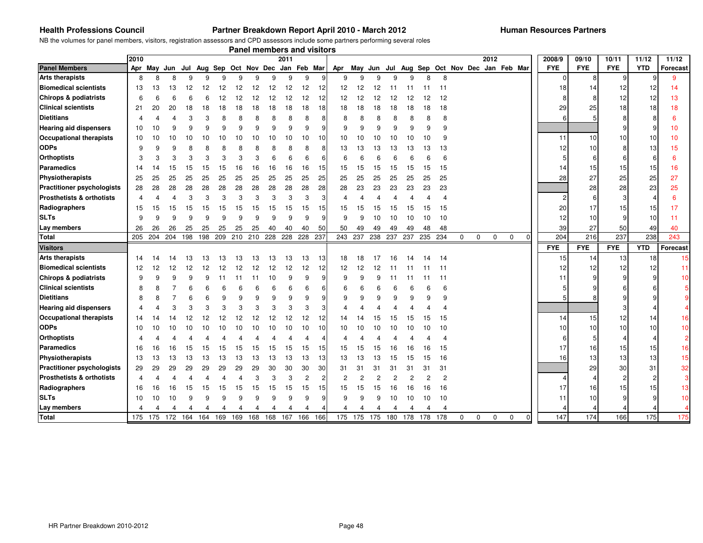#### **Health Professions Council**

#### **Partner Breakdown Report April 2010 - March 2012**

NB the volumes for panel members, visitors, registration assessors and CPD assessors include some partners performing several roles

| 2010<br>2012<br>2008/9<br>09/10<br>10/11<br>11/12<br>11/12<br>2011<br><b>Panel Members</b><br><b>FYE</b><br><b>FYE</b><br><b>FYE</b><br><b>YTD</b><br>Jul Aug Sep Oct Nov Dec Jan Feb Mar<br>Jul Aug Sep Oct Nov Dec Jan Feb Mar<br>Apr May Jun<br>Apr<br>May<br>Jun<br><b>Arts therapists</b><br>9<br>9<br>9<br>8<br>8<br>9<br>8<br>8<br>9<br>9<br>9<br>9<br>9<br>9<br>9<br>9<br>9<br>9<br>$\mathbf 0$<br>8<br>9<br><b>Biomedical scientists</b><br>12<br>12<br>18<br>14<br>13<br>13<br>12<br>12<br>12<br>12<br>12<br>12<br>11<br>14<br>12<br>13<br>12<br>12<br>12<br>11<br>11<br><b>Chirops &amp; podiatrists</b><br>12<br>6<br>12<br>12<br>12<br>12<br>12<br>12<br>12<br>12<br>8<br>12<br>13<br>6<br>12<br>12<br>$\overline{2}$<br>12<br><b>Clinical scientists</b><br>18<br>29<br>25<br>18<br>20<br>20<br>18<br>18<br>18<br>18<br>18<br>18<br>18<br>18<br>18<br>18<br>21<br>18<br>18<br>18<br>18<br>18<br>18<br><b>Dietitians</b><br>8<br>8<br>8<br>8<br>8<br>8<br>6<br>6<br>8<br>8<br>8<br><b>Hearing aid dispensers</b><br>9<br>9<br>9<br>9<br>9<br>10<br>10<br>9<br>9<br>9<br>9<br>9<br>9<br>9<br>10<br>9<br><b>Occupational therapists</b><br>11<br>10<br>10<br>10<br>10<br>10<br>10<br>10<br>10<br>10<br>10<br>10<br>10<br>10<br>10<br>10<br>10<br>10<br>10<br>10<br>10<br><b>ODPs</b><br>12<br>10<br>9<br>9<br>8<br>8<br>8<br>13<br>13<br>13<br>15<br>13<br>13<br>13<br>13<br>13<br><b>Orthoptists</b><br>3<br>3<br>3<br>3<br>6<br>6<br>5<br>3<br>3<br>6<br>6<br>6<br>6<br>6<br>6<br>6<br>6<br><b>Paramedics</b><br>16<br>16<br>16<br>15<br>15<br>15<br>15<br>16<br>15<br>15<br>15<br>15<br>16<br>16<br>15<br>15<br>15<br>14<br>15<br>15<br>14<br>14<br>15<br>15<br>Physiotherapists<br>25<br>25<br>25<br>25<br>25<br>25<br>25<br>25<br>25<br>25<br>25<br>25<br>28<br>27<br>25<br>25<br>27<br>25<br>25<br>25<br>25<br>25<br>25<br>25<br>28<br>28<br>28<br>28<br>23<br>25<br><b>Practitioner psychologists</b><br>28<br>28<br>28<br>28<br>28<br>28<br>28<br>28<br>23<br>23<br>23<br>23<br>23<br>28<br>28<br>23<br>28<br>Prosthetists & orthotists<br>3<br>3<br>3<br>3<br>3<br>3<br>3<br>3<br>6<br>6<br>3<br>4<br>4<br>Radiographers<br>15<br>15<br>20<br>17<br>17<br>15<br>15<br>15<br>15<br>15<br>15<br>15<br>15<br>15<br>15<br>15<br>15<br>15<br>15<br>15<br>15<br>15<br>15<br>15<br><b>SLTs</b><br>9<br>9<br>q<br>9<br>9<br>9<br>9<br>10<br>12<br>10<br>9<br>q<br>q<br>9<br>9<br>10<br>10<br>10<br>10<br>10<br>11<br>Lay members<br>25<br>25<br>40<br>40<br>49<br>39<br>27<br>26<br>26<br>26<br>25<br>25<br>25<br>40<br>50<br>50<br>49<br>49<br>49<br>48<br>48<br>50<br>49<br>40<br>204<br>237<br>198<br>209<br>228 237<br>243 237<br>216<br>238<br>243<br><b>Total</b><br>205<br>204<br>204<br>198<br>210<br>210<br>228<br>228<br>238<br>237<br>237<br>235 234<br>0<br>0<br>0<br>0<br><b>FYE</b><br><b>YTD</b><br><b>FYE</b><br><b>FYE</b><br><b>Visitors</b><br><b>Arts therapists</b><br>13<br>13<br>15<br>13<br>18<br>13<br>13<br>13<br>13<br>13<br>18<br>18<br>14<br>13<br>13<br>17<br>16<br>14<br>14<br>14<br>14<br><b>Biomedical scientists</b><br>12<br>12<br>12<br>12<br>12<br>12<br>12<br>12<br>12<br>12<br>12<br>12<br>12<br>12<br>12<br>12<br>12<br>12<br>12<br>11<br>11<br>11<br><b>Chirops &amp; podiatrists</b><br>9<br>9<br>9<br>9<br>9<br>10<br>9<br>9<br>9<br>11<br>11<br>11<br>11<br>11<br>11<br>11<br><b>Clinical scientists</b><br>8<br>8<br>6<br>6<br>6<br>6<br>6<br>6<br>6<br><b>Dietitians</b><br>9<br>9<br>8<br>8<br>6<br>9<br>9<br>9<br>q<br>9<br>9<br>9<br>9<br>9<br><b>Hearing aid dispensers</b><br>3<br>3<br>3<br>3<br>3<br>3<br>3<br>3<br>4<br>4<br><b>Occupational therapists</b><br>12<br>12<br>12<br>12<br>12<br>12<br>12<br>12<br>14<br>15<br>12<br>14<br>15<br>15<br>14<br>15<br>15<br>15<br>12<br>14<br><b>ODPs</b><br>10<br>10<br>10<br>10<br>10<br>10<br>10<br>10<br>10<br>10<br>10<br>10<br>10<br>10<br>10<br>10<br>10<br>10<br>10<br>10<br>10<br><b>Orthoptists</b><br>4<br><b>Paramedics</b><br>17<br>15<br>15<br>15<br>16<br>16<br>16<br>16<br>16<br>15<br>15<br>15<br>15<br>15<br>15<br>15<br>15<br>16<br>16<br>15<br>15<br>15<br>15<br>Physiotherapists<br>16<br>13<br>13<br>13<br>13<br>13<br>13<br>13<br>13<br>13<br>13<br>13<br>13<br>15<br>13<br>13<br>13<br>13<br>13<br>13<br>15<br>15<br>16<br><b>Practitioner psychologists</b><br>29<br>29<br>29<br>29<br>30<br>30<br>30<br>30<br>30<br>31<br>29<br>29<br>29<br>29<br>29<br>31<br>31<br>31<br>31<br>31<br>31<br>31<br><b>Prosthetists &amp; orthotists</b><br>3<br>$\overline{2}$<br>$\mathcal{P}$<br>2<br>$\overline{2}$<br>$\overline{c}$<br>2<br>2<br>2<br>$\overline{4}$<br>3<br>2<br>Radiographers<br>15<br>15<br>17<br>16<br>16<br>15<br>15 <sub>l</sub><br>16<br>16<br>16<br>16<br>16<br>15<br>15<br>16<br>15<br>15<br>15<br>15<br>15<br>15<br>15<br>15<br><b>SLTs</b><br>9<br>9<br>10<br>10<br>10<br>9<br>9<br>9<br>9<br>9<br>9<br>9<br>9<br>10<br>10<br>10<br>11<br>10<br>9<br>9<br>10<br>Lay members<br>4<br>4<br>4<br>4<br>4<br>4<br>147<br>174<br>166<br>175<br>175<br>175 172<br>168 168 167 166 166<br>175 175 175<br>180 178 178 178<br>$\mathbf 0$<br>$\mathbf 0$<br><b>Total</b><br>164 164<br>169<br>169<br>0<br>0<br>$\mathbf 0$ |  |  |  |  |  | <b>Panel members and visitors</b> |  |  |  |  |  |  |  |  |          |
|----------------------------------------------------------------------------------------------------------------------------------------------------------------------------------------------------------------------------------------------------------------------------------------------------------------------------------------------------------------------------------------------------------------------------------------------------------------------------------------------------------------------------------------------------------------------------------------------------------------------------------------------------------------------------------------------------------------------------------------------------------------------------------------------------------------------------------------------------------------------------------------------------------------------------------------------------------------------------------------------------------------------------------------------------------------------------------------------------------------------------------------------------------------------------------------------------------------------------------------------------------------------------------------------------------------------------------------------------------------------------------------------------------------------------------------------------------------------------------------------------------------------------------------------------------------------------------------------------------------------------------------------------------------------------------------------------------------------------------------------------------------------------------------------------------------------------------------------------------------------------------------------------------------------------------------------------------------------------------------------------------------------------------------------------------------------------------------------------------------------------------------------------------------------------------------------------------------------------------------------------------------------------------------------------------------------------------------------------------------------------------------------------------------------------------------------------------------------------------------------------------------------------------------------------------------------------------------------------------------------------------------------------------------------------------------------------------------------------------------------------------------------------------------------------------------------------------------------------------------------------------------------------------------------------------------------------------------------------------------------------------------------------------------------------------------------------------------------------------------------------------------------------------------------------------------------------------------------------------------------------------------------------------------------------------------------------------------------------------------------------------------------------------------------------------------------------------------------------------------------------------------------------------------------------------------------------------------------------------------------------------------------------------------------------------------------------------------------------------------------------------------------------------------------------------------------------------------------------------------------------------------------------------------------------------------------------------------------------------------------------------------------------------------------------------------------------------------------------------------------------------------------------------------------------------------------------------------------------------------------------------------------------------------------------------------------------------------------------------------------------------------------------------------------------------------------------------------------------------------------------------------------------------------------------------------------------------------------------------------------------------------------------------------------------------------------------------------------------------------------------------------------------------------------------------------------------------------------------------------------------------------------------------------------------------------------------------------------------------------------------------------------------------------------------------------------------------------------------------------------------------------------------------------------|--|--|--|--|--|-----------------------------------|--|--|--|--|--|--|--|--|----------|
| <b>Forecast</b><br>15<br>11<br>10<br>16<br>10<br>$\overline{\mathbf{c}}$<br>16<br>15<br>32<br>3<br>13<br>10<br>175                                                                                                                                                                                                                                                                                                                                                                                                                                                                                                                                                                                                                                                                                                                                                                                                                                                                                                                                                                                                                                                                                                                                                                                                                                                                                                                                                                                                                                                                                                                                                                                                                                                                                                                                                                                                                                                                                                                                                                                                                                                                                                                                                                                                                                                                                                                                                                                                                                                                                                                                                                                                                                                                                                                                                                                                                                                                                                                                                                                                                                                                                                                                                                                                                                                                                                                                                                                                                                                                                                                                                                                                                                                                                                                                                                                                                                                                                                                                                                                                                                                                                                                                                                                                                                                                                                                                                                                                                                                                                                                                                                                                                                                                                                                                                                                                                                                                                                                                                                                                                                                   |  |  |  |  |  |                                   |  |  |  |  |  |  |  |  |          |
|                                                                                                                                                                                                                                                                                                                                                                                                                                                                                                                                                                                                                                                                                                                                                                                                                                                                                                                                                                                                                                                                                                                                                                                                                                                                                                                                                                                                                                                                                                                                                                                                                                                                                                                                                                                                                                                                                                                                                                                                                                                                                                                                                                                                                                                                                                                                                                                                                                                                                                                                                                                                                                                                                                                                                                                                                                                                                                                                                                                                                                                                                                                                                                                                                                                                                                                                                                                                                                                                                                                                                                                                                                                                                                                                                                                                                                                                                                                                                                                                                                                                                                                                                                                                                                                                                                                                                                                                                                                                                                                                                                                                                                                                                                                                                                                                                                                                                                                                                                                                                                                                                                                                                                      |  |  |  |  |  |                                   |  |  |  |  |  |  |  |  | Forecast |
|                                                                                                                                                                                                                                                                                                                                                                                                                                                                                                                                                                                                                                                                                                                                                                                                                                                                                                                                                                                                                                                                                                                                                                                                                                                                                                                                                                                                                                                                                                                                                                                                                                                                                                                                                                                                                                                                                                                                                                                                                                                                                                                                                                                                                                                                                                                                                                                                                                                                                                                                                                                                                                                                                                                                                                                                                                                                                                                                                                                                                                                                                                                                                                                                                                                                                                                                                                                                                                                                                                                                                                                                                                                                                                                                                                                                                                                                                                                                                                                                                                                                                                                                                                                                                                                                                                                                                                                                                                                                                                                                                                                                                                                                                                                                                                                                                                                                                                                                                                                                                                                                                                                                                                      |  |  |  |  |  |                                   |  |  |  |  |  |  |  |  |          |
|                                                                                                                                                                                                                                                                                                                                                                                                                                                                                                                                                                                                                                                                                                                                                                                                                                                                                                                                                                                                                                                                                                                                                                                                                                                                                                                                                                                                                                                                                                                                                                                                                                                                                                                                                                                                                                                                                                                                                                                                                                                                                                                                                                                                                                                                                                                                                                                                                                                                                                                                                                                                                                                                                                                                                                                                                                                                                                                                                                                                                                                                                                                                                                                                                                                                                                                                                                                                                                                                                                                                                                                                                                                                                                                                                                                                                                                                                                                                                                                                                                                                                                                                                                                                                                                                                                                                                                                                                                                                                                                                                                                                                                                                                                                                                                                                                                                                                                                                                                                                                                                                                                                                                                      |  |  |  |  |  |                                   |  |  |  |  |  |  |  |  |          |
|                                                                                                                                                                                                                                                                                                                                                                                                                                                                                                                                                                                                                                                                                                                                                                                                                                                                                                                                                                                                                                                                                                                                                                                                                                                                                                                                                                                                                                                                                                                                                                                                                                                                                                                                                                                                                                                                                                                                                                                                                                                                                                                                                                                                                                                                                                                                                                                                                                                                                                                                                                                                                                                                                                                                                                                                                                                                                                                                                                                                                                                                                                                                                                                                                                                                                                                                                                                                                                                                                                                                                                                                                                                                                                                                                                                                                                                                                                                                                                                                                                                                                                                                                                                                                                                                                                                                                                                                                                                                                                                                                                                                                                                                                                                                                                                                                                                                                                                                                                                                                                                                                                                                                                      |  |  |  |  |  |                                   |  |  |  |  |  |  |  |  |          |
|                                                                                                                                                                                                                                                                                                                                                                                                                                                                                                                                                                                                                                                                                                                                                                                                                                                                                                                                                                                                                                                                                                                                                                                                                                                                                                                                                                                                                                                                                                                                                                                                                                                                                                                                                                                                                                                                                                                                                                                                                                                                                                                                                                                                                                                                                                                                                                                                                                                                                                                                                                                                                                                                                                                                                                                                                                                                                                                                                                                                                                                                                                                                                                                                                                                                                                                                                                                                                                                                                                                                                                                                                                                                                                                                                                                                                                                                                                                                                                                                                                                                                                                                                                                                                                                                                                                                                                                                                                                                                                                                                                                                                                                                                                                                                                                                                                                                                                                                                                                                                                                                                                                                                                      |  |  |  |  |  |                                   |  |  |  |  |  |  |  |  |          |
|                                                                                                                                                                                                                                                                                                                                                                                                                                                                                                                                                                                                                                                                                                                                                                                                                                                                                                                                                                                                                                                                                                                                                                                                                                                                                                                                                                                                                                                                                                                                                                                                                                                                                                                                                                                                                                                                                                                                                                                                                                                                                                                                                                                                                                                                                                                                                                                                                                                                                                                                                                                                                                                                                                                                                                                                                                                                                                                                                                                                                                                                                                                                                                                                                                                                                                                                                                                                                                                                                                                                                                                                                                                                                                                                                                                                                                                                                                                                                                                                                                                                                                                                                                                                                                                                                                                                                                                                                                                                                                                                                                                                                                                                                                                                                                                                                                                                                                                                                                                                                                                                                                                                                                      |  |  |  |  |  |                                   |  |  |  |  |  |  |  |  |          |
|                                                                                                                                                                                                                                                                                                                                                                                                                                                                                                                                                                                                                                                                                                                                                                                                                                                                                                                                                                                                                                                                                                                                                                                                                                                                                                                                                                                                                                                                                                                                                                                                                                                                                                                                                                                                                                                                                                                                                                                                                                                                                                                                                                                                                                                                                                                                                                                                                                                                                                                                                                                                                                                                                                                                                                                                                                                                                                                                                                                                                                                                                                                                                                                                                                                                                                                                                                                                                                                                                                                                                                                                                                                                                                                                                                                                                                                                                                                                                                                                                                                                                                                                                                                                                                                                                                                                                                                                                                                                                                                                                                                                                                                                                                                                                                                                                                                                                                                                                                                                                                                                                                                                                                      |  |  |  |  |  |                                   |  |  |  |  |  |  |  |  |          |
|                                                                                                                                                                                                                                                                                                                                                                                                                                                                                                                                                                                                                                                                                                                                                                                                                                                                                                                                                                                                                                                                                                                                                                                                                                                                                                                                                                                                                                                                                                                                                                                                                                                                                                                                                                                                                                                                                                                                                                                                                                                                                                                                                                                                                                                                                                                                                                                                                                                                                                                                                                                                                                                                                                                                                                                                                                                                                                                                                                                                                                                                                                                                                                                                                                                                                                                                                                                                                                                                                                                                                                                                                                                                                                                                                                                                                                                                                                                                                                                                                                                                                                                                                                                                                                                                                                                                                                                                                                                                                                                                                                                                                                                                                                                                                                                                                                                                                                                                                                                                                                                                                                                                                                      |  |  |  |  |  |                                   |  |  |  |  |  |  |  |  |          |
|                                                                                                                                                                                                                                                                                                                                                                                                                                                                                                                                                                                                                                                                                                                                                                                                                                                                                                                                                                                                                                                                                                                                                                                                                                                                                                                                                                                                                                                                                                                                                                                                                                                                                                                                                                                                                                                                                                                                                                                                                                                                                                                                                                                                                                                                                                                                                                                                                                                                                                                                                                                                                                                                                                                                                                                                                                                                                                                                                                                                                                                                                                                                                                                                                                                                                                                                                                                                                                                                                                                                                                                                                                                                                                                                                                                                                                                                                                                                                                                                                                                                                                                                                                                                                                                                                                                                                                                                                                                                                                                                                                                                                                                                                                                                                                                                                                                                                                                                                                                                                                                                                                                                                                      |  |  |  |  |  |                                   |  |  |  |  |  |  |  |  |          |
|                                                                                                                                                                                                                                                                                                                                                                                                                                                                                                                                                                                                                                                                                                                                                                                                                                                                                                                                                                                                                                                                                                                                                                                                                                                                                                                                                                                                                                                                                                                                                                                                                                                                                                                                                                                                                                                                                                                                                                                                                                                                                                                                                                                                                                                                                                                                                                                                                                                                                                                                                                                                                                                                                                                                                                                                                                                                                                                                                                                                                                                                                                                                                                                                                                                                                                                                                                                                                                                                                                                                                                                                                                                                                                                                                                                                                                                                                                                                                                                                                                                                                                                                                                                                                                                                                                                                                                                                                                                                                                                                                                                                                                                                                                                                                                                                                                                                                                                                                                                                                                                                                                                                                                      |  |  |  |  |  |                                   |  |  |  |  |  |  |  |  |          |
|                                                                                                                                                                                                                                                                                                                                                                                                                                                                                                                                                                                                                                                                                                                                                                                                                                                                                                                                                                                                                                                                                                                                                                                                                                                                                                                                                                                                                                                                                                                                                                                                                                                                                                                                                                                                                                                                                                                                                                                                                                                                                                                                                                                                                                                                                                                                                                                                                                                                                                                                                                                                                                                                                                                                                                                                                                                                                                                                                                                                                                                                                                                                                                                                                                                                                                                                                                                                                                                                                                                                                                                                                                                                                                                                                                                                                                                                                                                                                                                                                                                                                                                                                                                                                                                                                                                                                                                                                                                                                                                                                                                                                                                                                                                                                                                                                                                                                                                                                                                                                                                                                                                                                                      |  |  |  |  |  |                                   |  |  |  |  |  |  |  |  |          |
|                                                                                                                                                                                                                                                                                                                                                                                                                                                                                                                                                                                                                                                                                                                                                                                                                                                                                                                                                                                                                                                                                                                                                                                                                                                                                                                                                                                                                                                                                                                                                                                                                                                                                                                                                                                                                                                                                                                                                                                                                                                                                                                                                                                                                                                                                                                                                                                                                                                                                                                                                                                                                                                                                                                                                                                                                                                                                                                                                                                                                                                                                                                                                                                                                                                                                                                                                                                                                                                                                                                                                                                                                                                                                                                                                                                                                                                                                                                                                                                                                                                                                                                                                                                                                                                                                                                                                                                                                                                                                                                                                                                                                                                                                                                                                                                                                                                                                                                                                                                                                                                                                                                                                                      |  |  |  |  |  |                                   |  |  |  |  |  |  |  |  |          |
|                                                                                                                                                                                                                                                                                                                                                                                                                                                                                                                                                                                                                                                                                                                                                                                                                                                                                                                                                                                                                                                                                                                                                                                                                                                                                                                                                                                                                                                                                                                                                                                                                                                                                                                                                                                                                                                                                                                                                                                                                                                                                                                                                                                                                                                                                                                                                                                                                                                                                                                                                                                                                                                                                                                                                                                                                                                                                                                                                                                                                                                                                                                                                                                                                                                                                                                                                                                                                                                                                                                                                                                                                                                                                                                                                                                                                                                                                                                                                                                                                                                                                                                                                                                                                                                                                                                                                                                                                                                                                                                                                                                                                                                                                                                                                                                                                                                                                                                                                                                                                                                                                                                                                                      |  |  |  |  |  |                                   |  |  |  |  |  |  |  |  |          |
|                                                                                                                                                                                                                                                                                                                                                                                                                                                                                                                                                                                                                                                                                                                                                                                                                                                                                                                                                                                                                                                                                                                                                                                                                                                                                                                                                                                                                                                                                                                                                                                                                                                                                                                                                                                                                                                                                                                                                                                                                                                                                                                                                                                                                                                                                                                                                                                                                                                                                                                                                                                                                                                                                                                                                                                                                                                                                                                                                                                                                                                                                                                                                                                                                                                                                                                                                                                                                                                                                                                                                                                                                                                                                                                                                                                                                                                                                                                                                                                                                                                                                                                                                                                                                                                                                                                                                                                                                                                                                                                                                                                                                                                                                                                                                                                                                                                                                                                                                                                                                                                                                                                                                                      |  |  |  |  |  |                                   |  |  |  |  |  |  |  |  |          |
|                                                                                                                                                                                                                                                                                                                                                                                                                                                                                                                                                                                                                                                                                                                                                                                                                                                                                                                                                                                                                                                                                                                                                                                                                                                                                                                                                                                                                                                                                                                                                                                                                                                                                                                                                                                                                                                                                                                                                                                                                                                                                                                                                                                                                                                                                                                                                                                                                                                                                                                                                                                                                                                                                                                                                                                                                                                                                                                                                                                                                                                                                                                                                                                                                                                                                                                                                                                                                                                                                                                                                                                                                                                                                                                                                                                                                                                                                                                                                                                                                                                                                                                                                                                                                                                                                                                                                                                                                                                                                                                                                                                                                                                                                                                                                                                                                                                                                                                                                                                                                                                                                                                                                                      |  |  |  |  |  |                                   |  |  |  |  |  |  |  |  |          |
|                                                                                                                                                                                                                                                                                                                                                                                                                                                                                                                                                                                                                                                                                                                                                                                                                                                                                                                                                                                                                                                                                                                                                                                                                                                                                                                                                                                                                                                                                                                                                                                                                                                                                                                                                                                                                                                                                                                                                                                                                                                                                                                                                                                                                                                                                                                                                                                                                                                                                                                                                                                                                                                                                                                                                                                                                                                                                                                                                                                                                                                                                                                                                                                                                                                                                                                                                                                                                                                                                                                                                                                                                                                                                                                                                                                                                                                                                                                                                                                                                                                                                                                                                                                                                                                                                                                                                                                                                                                                                                                                                                                                                                                                                                                                                                                                                                                                                                                                                                                                                                                                                                                                                                      |  |  |  |  |  |                                   |  |  |  |  |  |  |  |  |          |
|                                                                                                                                                                                                                                                                                                                                                                                                                                                                                                                                                                                                                                                                                                                                                                                                                                                                                                                                                                                                                                                                                                                                                                                                                                                                                                                                                                                                                                                                                                                                                                                                                                                                                                                                                                                                                                                                                                                                                                                                                                                                                                                                                                                                                                                                                                                                                                                                                                                                                                                                                                                                                                                                                                                                                                                                                                                                                                                                                                                                                                                                                                                                                                                                                                                                                                                                                                                                                                                                                                                                                                                                                                                                                                                                                                                                                                                                                                                                                                                                                                                                                                                                                                                                                                                                                                                                                                                                                                                                                                                                                                                                                                                                                                                                                                                                                                                                                                                                                                                                                                                                                                                                                                      |  |  |  |  |  |                                   |  |  |  |  |  |  |  |  |          |
|                                                                                                                                                                                                                                                                                                                                                                                                                                                                                                                                                                                                                                                                                                                                                                                                                                                                                                                                                                                                                                                                                                                                                                                                                                                                                                                                                                                                                                                                                                                                                                                                                                                                                                                                                                                                                                                                                                                                                                                                                                                                                                                                                                                                                                                                                                                                                                                                                                                                                                                                                                                                                                                                                                                                                                                                                                                                                                                                                                                                                                                                                                                                                                                                                                                                                                                                                                                                                                                                                                                                                                                                                                                                                                                                                                                                                                                                                                                                                                                                                                                                                                                                                                                                                                                                                                                                                                                                                                                                                                                                                                                                                                                                                                                                                                                                                                                                                                                                                                                                                                                                                                                                                                      |  |  |  |  |  |                                   |  |  |  |  |  |  |  |  |          |
|                                                                                                                                                                                                                                                                                                                                                                                                                                                                                                                                                                                                                                                                                                                                                                                                                                                                                                                                                                                                                                                                                                                                                                                                                                                                                                                                                                                                                                                                                                                                                                                                                                                                                                                                                                                                                                                                                                                                                                                                                                                                                                                                                                                                                                                                                                                                                                                                                                                                                                                                                                                                                                                                                                                                                                                                                                                                                                                                                                                                                                                                                                                                                                                                                                                                                                                                                                                                                                                                                                                                                                                                                                                                                                                                                                                                                                                                                                                                                                                                                                                                                                                                                                                                                                                                                                                                                                                                                                                                                                                                                                                                                                                                                                                                                                                                                                                                                                                                                                                                                                                                                                                                                                      |  |  |  |  |  |                                   |  |  |  |  |  |  |  |  |          |
|                                                                                                                                                                                                                                                                                                                                                                                                                                                                                                                                                                                                                                                                                                                                                                                                                                                                                                                                                                                                                                                                                                                                                                                                                                                                                                                                                                                                                                                                                                                                                                                                                                                                                                                                                                                                                                                                                                                                                                                                                                                                                                                                                                                                                                                                                                                                                                                                                                                                                                                                                                                                                                                                                                                                                                                                                                                                                                                                                                                                                                                                                                                                                                                                                                                                                                                                                                                                                                                                                                                                                                                                                                                                                                                                                                                                                                                                                                                                                                                                                                                                                                                                                                                                                                                                                                                                                                                                                                                                                                                                                                                                                                                                                                                                                                                                                                                                                                                                                                                                                                                                                                                                                                      |  |  |  |  |  |                                   |  |  |  |  |  |  |  |  |          |
|                                                                                                                                                                                                                                                                                                                                                                                                                                                                                                                                                                                                                                                                                                                                                                                                                                                                                                                                                                                                                                                                                                                                                                                                                                                                                                                                                                                                                                                                                                                                                                                                                                                                                                                                                                                                                                                                                                                                                                                                                                                                                                                                                                                                                                                                                                                                                                                                                                                                                                                                                                                                                                                                                                                                                                                                                                                                                                                                                                                                                                                                                                                                                                                                                                                                                                                                                                                                                                                                                                                                                                                                                                                                                                                                                                                                                                                                                                                                                                                                                                                                                                                                                                                                                                                                                                                                                                                                                                                                                                                                                                                                                                                                                                                                                                                                                                                                                                                                                                                                                                                                                                                                                                      |  |  |  |  |  |                                   |  |  |  |  |  |  |  |  |          |
|                                                                                                                                                                                                                                                                                                                                                                                                                                                                                                                                                                                                                                                                                                                                                                                                                                                                                                                                                                                                                                                                                                                                                                                                                                                                                                                                                                                                                                                                                                                                                                                                                                                                                                                                                                                                                                                                                                                                                                                                                                                                                                                                                                                                                                                                                                                                                                                                                                                                                                                                                                                                                                                                                                                                                                                                                                                                                                                                                                                                                                                                                                                                                                                                                                                                                                                                                                                                                                                                                                                                                                                                                                                                                                                                                                                                                                                                                                                                                                                                                                                                                                                                                                                                                                                                                                                                                                                                                                                                                                                                                                                                                                                                                                                                                                                                                                                                                                                                                                                                                                                                                                                                                                      |  |  |  |  |  |                                   |  |  |  |  |  |  |  |  |          |
|                                                                                                                                                                                                                                                                                                                                                                                                                                                                                                                                                                                                                                                                                                                                                                                                                                                                                                                                                                                                                                                                                                                                                                                                                                                                                                                                                                                                                                                                                                                                                                                                                                                                                                                                                                                                                                                                                                                                                                                                                                                                                                                                                                                                                                                                                                                                                                                                                                                                                                                                                                                                                                                                                                                                                                                                                                                                                                                                                                                                                                                                                                                                                                                                                                                                                                                                                                                                                                                                                                                                                                                                                                                                                                                                                                                                                                                                                                                                                                                                                                                                                                                                                                                                                                                                                                                                                                                                                                                                                                                                                                                                                                                                                                                                                                                                                                                                                                                                                                                                                                                                                                                                                                      |  |  |  |  |  |                                   |  |  |  |  |  |  |  |  |          |
|                                                                                                                                                                                                                                                                                                                                                                                                                                                                                                                                                                                                                                                                                                                                                                                                                                                                                                                                                                                                                                                                                                                                                                                                                                                                                                                                                                                                                                                                                                                                                                                                                                                                                                                                                                                                                                                                                                                                                                                                                                                                                                                                                                                                                                                                                                                                                                                                                                                                                                                                                                                                                                                                                                                                                                                                                                                                                                                                                                                                                                                                                                                                                                                                                                                                                                                                                                                                                                                                                                                                                                                                                                                                                                                                                                                                                                                                                                                                                                                                                                                                                                                                                                                                                                                                                                                                                                                                                                                                                                                                                                                                                                                                                                                                                                                                                                                                                                                                                                                                                                                                                                                                                                      |  |  |  |  |  |                                   |  |  |  |  |  |  |  |  |          |
|                                                                                                                                                                                                                                                                                                                                                                                                                                                                                                                                                                                                                                                                                                                                                                                                                                                                                                                                                                                                                                                                                                                                                                                                                                                                                                                                                                                                                                                                                                                                                                                                                                                                                                                                                                                                                                                                                                                                                                                                                                                                                                                                                                                                                                                                                                                                                                                                                                                                                                                                                                                                                                                                                                                                                                                                                                                                                                                                                                                                                                                                                                                                                                                                                                                                                                                                                                                                                                                                                                                                                                                                                                                                                                                                                                                                                                                                                                                                                                                                                                                                                                                                                                                                                                                                                                                                                                                                                                                                                                                                                                                                                                                                                                                                                                                                                                                                                                                                                                                                                                                                                                                                                                      |  |  |  |  |  |                                   |  |  |  |  |  |  |  |  |          |
|                                                                                                                                                                                                                                                                                                                                                                                                                                                                                                                                                                                                                                                                                                                                                                                                                                                                                                                                                                                                                                                                                                                                                                                                                                                                                                                                                                                                                                                                                                                                                                                                                                                                                                                                                                                                                                                                                                                                                                                                                                                                                                                                                                                                                                                                                                                                                                                                                                                                                                                                                                                                                                                                                                                                                                                                                                                                                                                                                                                                                                                                                                                                                                                                                                                                                                                                                                                                                                                                                                                                                                                                                                                                                                                                                                                                                                                                                                                                                                                                                                                                                                                                                                                                                                                                                                                                                                                                                                                                                                                                                                                                                                                                                                                                                                                                                                                                                                                                                                                                                                                                                                                                                                      |  |  |  |  |  |                                   |  |  |  |  |  |  |  |  |          |
|                                                                                                                                                                                                                                                                                                                                                                                                                                                                                                                                                                                                                                                                                                                                                                                                                                                                                                                                                                                                                                                                                                                                                                                                                                                                                                                                                                                                                                                                                                                                                                                                                                                                                                                                                                                                                                                                                                                                                                                                                                                                                                                                                                                                                                                                                                                                                                                                                                                                                                                                                                                                                                                                                                                                                                                                                                                                                                                                                                                                                                                                                                                                                                                                                                                                                                                                                                                                                                                                                                                                                                                                                                                                                                                                                                                                                                                                                                                                                                                                                                                                                                                                                                                                                                                                                                                                                                                                                                                                                                                                                                                                                                                                                                                                                                                                                                                                                                                                                                                                                                                                                                                                                                      |  |  |  |  |  |                                   |  |  |  |  |  |  |  |  |          |
|                                                                                                                                                                                                                                                                                                                                                                                                                                                                                                                                                                                                                                                                                                                                                                                                                                                                                                                                                                                                                                                                                                                                                                                                                                                                                                                                                                                                                                                                                                                                                                                                                                                                                                                                                                                                                                                                                                                                                                                                                                                                                                                                                                                                                                                                                                                                                                                                                                                                                                                                                                                                                                                                                                                                                                                                                                                                                                                                                                                                                                                                                                                                                                                                                                                                                                                                                                                                                                                                                                                                                                                                                                                                                                                                                                                                                                                                                                                                                                                                                                                                                                                                                                                                                                                                                                                                                                                                                                                                                                                                                                                                                                                                                                                                                                                                                                                                                                                                                                                                                                                                                                                                                                      |  |  |  |  |  |                                   |  |  |  |  |  |  |  |  |          |
|                                                                                                                                                                                                                                                                                                                                                                                                                                                                                                                                                                                                                                                                                                                                                                                                                                                                                                                                                                                                                                                                                                                                                                                                                                                                                                                                                                                                                                                                                                                                                                                                                                                                                                                                                                                                                                                                                                                                                                                                                                                                                                                                                                                                                                                                                                                                                                                                                                                                                                                                                                                                                                                                                                                                                                                                                                                                                                                                                                                                                                                                                                                                                                                                                                                                                                                                                                                                                                                                                                                                                                                                                                                                                                                                                                                                                                                                                                                                                                                                                                                                                                                                                                                                                                                                                                                                                                                                                                                                                                                                                                                                                                                                                                                                                                                                                                                                                                                                                                                                                                                                                                                                                                      |  |  |  |  |  |                                   |  |  |  |  |  |  |  |  |          |
|                                                                                                                                                                                                                                                                                                                                                                                                                                                                                                                                                                                                                                                                                                                                                                                                                                                                                                                                                                                                                                                                                                                                                                                                                                                                                                                                                                                                                                                                                                                                                                                                                                                                                                                                                                                                                                                                                                                                                                                                                                                                                                                                                                                                                                                                                                                                                                                                                                                                                                                                                                                                                                                                                                                                                                                                                                                                                                                                                                                                                                                                                                                                                                                                                                                                                                                                                                                                                                                                                                                                                                                                                                                                                                                                                                                                                                                                                                                                                                                                                                                                                                                                                                                                                                                                                                                                                                                                                                                                                                                                                                                                                                                                                                                                                                                                                                                                                                                                                                                                                                                                                                                                                                      |  |  |  |  |  |                                   |  |  |  |  |  |  |  |  |          |
|                                                                                                                                                                                                                                                                                                                                                                                                                                                                                                                                                                                                                                                                                                                                                                                                                                                                                                                                                                                                                                                                                                                                                                                                                                                                                                                                                                                                                                                                                                                                                                                                                                                                                                                                                                                                                                                                                                                                                                                                                                                                                                                                                                                                                                                                                                                                                                                                                                                                                                                                                                                                                                                                                                                                                                                                                                                                                                                                                                                                                                                                                                                                                                                                                                                                                                                                                                                                                                                                                                                                                                                                                                                                                                                                                                                                                                                                                                                                                                                                                                                                                                                                                                                                                                                                                                                                                                                                                                                                                                                                                                                                                                                                                                                                                                                                                                                                                                                                                                                                                                                                                                                                                                      |  |  |  |  |  |                                   |  |  |  |  |  |  |  |  |          |
|                                                                                                                                                                                                                                                                                                                                                                                                                                                                                                                                                                                                                                                                                                                                                                                                                                                                                                                                                                                                                                                                                                                                                                                                                                                                                                                                                                                                                                                                                                                                                                                                                                                                                                                                                                                                                                                                                                                                                                                                                                                                                                                                                                                                                                                                                                                                                                                                                                                                                                                                                                                                                                                                                                                                                                                                                                                                                                                                                                                                                                                                                                                                                                                                                                                                                                                                                                                                                                                                                                                                                                                                                                                                                                                                                                                                                                                                                                                                                                                                                                                                                                                                                                                                                                                                                                                                                                                                                                                                                                                                                                                                                                                                                                                                                                                                                                                                                                                                                                                                                                                                                                                                                                      |  |  |  |  |  |                                   |  |  |  |  |  |  |  |  |          |
|                                                                                                                                                                                                                                                                                                                                                                                                                                                                                                                                                                                                                                                                                                                                                                                                                                                                                                                                                                                                                                                                                                                                                                                                                                                                                                                                                                                                                                                                                                                                                                                                                                                                                                                                                                                                                                                                                                                                                                                                                                                                                                                                                                                                                                                                                                                                                                                                                                                                                                                                                                                                                                                                                                                                                                                                                                                                                                                                                                                                                                                                                                                                                                                                                                                                                                                                                                                                                                                                                                                                                                                                                                                                                                                                                                                                                                                                                                                                                                                                                                                                                                                                                                                                                                                                                                                                                                                                                                                                                                                                                                                                                                                                                                                                                                                                                                                                                                                                                                                                                                                                                                                                                                      |  |  |  |  |  |                                   |  |  |  |  |  |  |  |  |          |
|                                                                                                                                                                                                                                                                                                                                                                                                                                                                                                                                                                                                                                                                                                                                                                                                                                                                                                                                                                                                                                                                                                                                                                                                                                                                                                                                                                                                                                                                                                                                                                                                                                                                                                                                                                                                                                                                                                                                                                                                                                                                                                                                                                                                                                                                                                                                                                                                                                                                                                                                                                                                                                                                                                                                                                                                                                                                                                                                                                                                                                                                                                                                                                                                                                                                                                                                                                                                                                                                                                                                                                                                                                                                                                                                                                                                                                                                                                                                                                                                                                                                                                                                                                                                                                                                                                                                                                                                                                                                                                                                                                                                                                                                                                                                                                                                                                                                                                                                                                                                                                                                                                                                                                      |  |  |  |  |  |                                   |  |  |  |  |  |  |  |  |          |
|                                                                                                                                                                                                                                                                                                                                                                                                                                                                                                                                                                                                                                                                                                                                                                                                                                                                                                                                                                                                                                                                                                                                                                                                                                                                                                                                                                                                                                                                                                                                                                                                                                                                                                                                                                                                                                                                                                                                                                                                                                                                                                                                                                                                                                                                                                                                                                                                                                                                                                                                                                                                                                                                                                                                                                                                                                                                                                                                                                                                                                                                                                                                                                                                                                                                                                                                                                                                                                                                                                                                                                                                                                                                                                                                                                                                                                                                                                                                                                                                                                                                                                                                                                                                                                                                                                                                                                                                                                                                                                                                                                                                                                                                                                                                                                                                                                                                                                                                                                                                                                                                                                                                                                      |  |  |  |  |  |                                   |  |  |  |  |  |  |  |  |          |
|                                                                                                                                                                                                                                                                                                                                                                                                                                                                                                                                                                                                                                                                                                                                                                                                                                                                                                                                                                                                                                                                                                                                                                                                                                                                                                                                                                                                                                                                                                                                                                                                                                                                                                                                                                                                                                                                                                                                                                                                                                                                                                                                                                                                                                                                                                                                                                                                                                                                                                                                                                                                                                                                                                                                                                                                                                                                                                                                                                                                                                                                                                                                                                                                                                                                                                                                                                                                                                                                                                                                                                                                                                                                                                                                                                                                                                                                                                                                                                                                                                                                                                                                                                                                                                                                                                                                                                                                                                                                                                                                                                                                                                                                                                                                                                                                                                                                                                                                                                                                                                                                                                                                                                      |  |  |  |  |  |                                   |  |  |  |  |  |  |  |  |          |